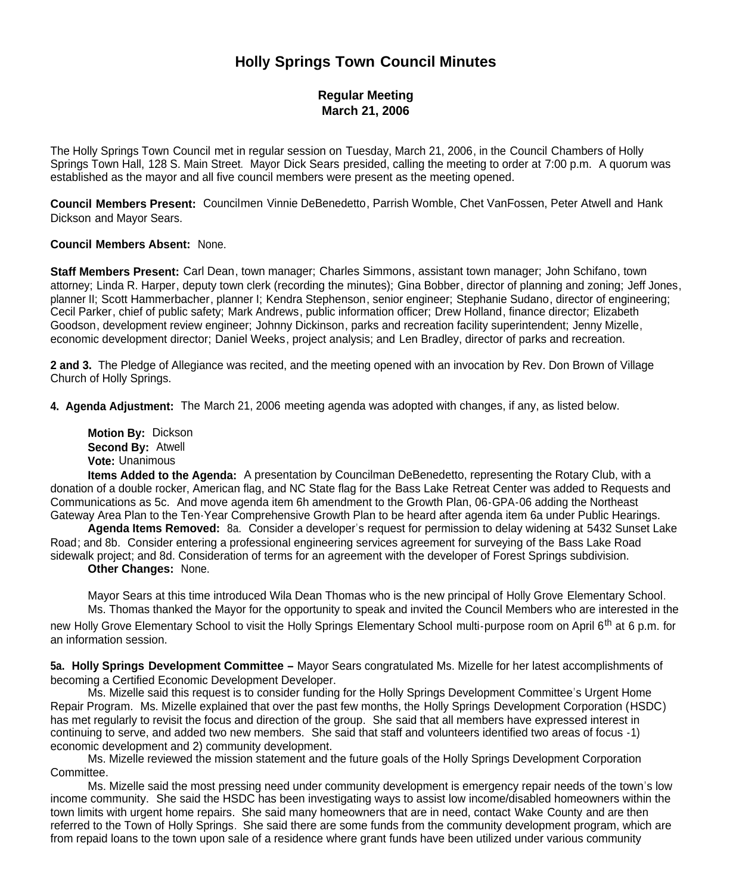# **Holly Springs Town Council Minutes**

# **Regular Meeting March 21, 2006**

The Holly Springs Town Council met in regular session on Tuesday, March 21, 2006, in the Council Chambers of Holly Springs Town Hall, 128 S. Main Street. Mayor Dick Sears presided, calling the meeting to order at 7:00 p.m. A quorum was established as the mayor and all five council members were present as the meeting opened.

**Council Members Present:** Councilmen Vinnie DeBenedetto, Parrish Womble, Chet VanFossen, Peter Atwell and Hank Dickson and Mayor Sears.

#### **Council Members Absent:** None.

**Staff Members Present:** Carl Dean, town manager; Charles Simmons, assistant town manager; John Schifano, town attorney; Linda R. Harper, deputy town clerk (recording the minutes); Gina Bobber, director of planning and zoning; Jeff Jones, planner II; Scott Hammerbacher, planner I; Kendra Stephenson, senior engineer; Stephanie Sudano, director of engineering; Cecil Parker, chief of public safety; Mark Andrews, public information officer; Drew Holland, finance director; Elizabeth Goodson, development review engineer; Johnny Dickinson, parks and recreation facility superintendent; Jenny Mizelle, economic development director; Daniel Weeks, project analysis; and Len Bradley, director of parks and recreation.

**2 and 3.** The Pledge of Allegiance was recited, and the meeting opened with an invocation by Rev. Don Brown of Village Church of Holly Springs.

**4. Agenda Adjustment:** The March 21, 2006 meeting agenda was adopted with changes, if any, as listed below.

**Motion By:** Dickson **Second By:** Atwell **Vote:** Unanimous

**Items Added to the Agenda:** A presentation by Councilman DeBenedetto, representing the Rotary Club, with a donation of a double rocker, American flag, and NC State flag for the Bass Lake Retreat Center was added to Requests and Communications as 5c. And move agenda item 6h amendment to the Growth Plan, 06-GPA-06 adding the Northeast Gateway Area Plan to the Ten-Year Comprehensive Growth Plan to be heard after agenda item 6a under Public Hearings.

**Agenda Items Removed:** 8a. Consider a developer's request for permission to delay widening at 5432 Sunset Lake Road; and 8b. Consider entering a professional engineering services agreement for surveying of the Bass Lake Road sidewalk project; and 8d. Consideration of terms for an agreement with the developer of Forest Springs subdivision. **Other Changes:** None.

Mayor Sears at this time introduced Wila Dean Thomas who is the new principal of Holly Grove Elementary School. Ms. Thomas thanked the Mayor for the opportunity to speak and invited the Council Members who are interested in the new Holly Grove Elementary School to visit the Holly Springs Elementary School multi-purpose room on April 6<sup>th</sup> at 6 p.m. for

an information session.

**5a. Holly Springs Development Committee –** Mayor Sears congratulated Ms. Mizelle for her latest accomplishments of becoming a Certified Economic Development Developer.

Ms. Mizelle said this request is to consider funding for the Holly Springs Development Committee's Urgent Home Repair Program. Ms. Mizelle explained that over the past few months, the Holly Springs Development Corporation (HSDC) has met regularly to revisit the focus and direction of the group. She said that all members have expressed interest in continuing to serve, and added two new members. She said that staff and volunteers identified two areas of focus -1) economic development and 2) community development.

Ms. Mizelle reviewed the mission statement and the future goals of the Holly Springs Development Corporation Committee.

Ms. Mizelle said the most pressing need under community development is emergency repair needs of the town's low income community. She said the HSDC has been investigating ways to assist low income/disabled homeowners within the town limits with urgent home repairs. She said many homeowners that are in need, contact Wake County and are then referred to the Town of Holly Springs. She said there are some funds from the community development program, which are from repaid loans to the town upon sale of a residence where grant funds have been utilized under various community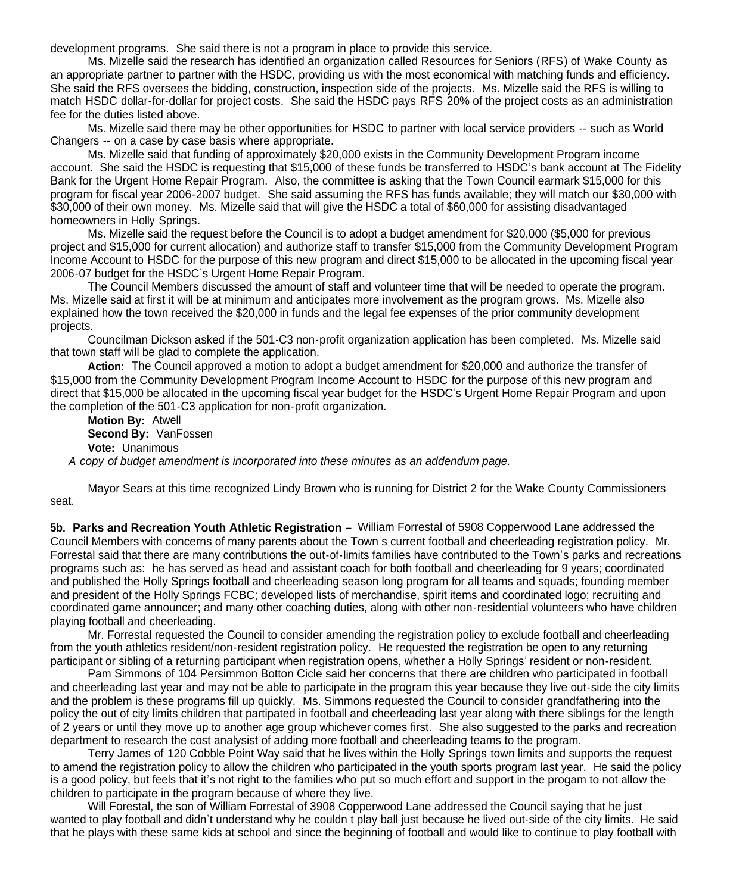development programs. She said there is not a program in place to provide this service.

Ms. Mizelle said the research has identified an organization called Resources for Seniors (RFS) of Wake County as an appropriate partner to partner with the HSDC, providing us with the most economical with matching funds and efficiency. She said the RFS oversees the bidding, construction, inspection side of the projects. Ms. Mizelle said the RFS is willing to match HSDC dollar-for-dollar for project costs. She said the HSDC pays RFS 20% of the project costs as an administration fee for the duties listed above.

Ms. Mizelle said there may be other opportunities for HSDC to partner with local service providers -- such as World Changers -- on a case by case basis where appropriate.

Ms. Mizelle said that funding of approximately \$20,000 exists in the Community Development Program income account. She said the HSDC is requesting that \$15,000 of these funds be transferred to HSDC's bank account at The Fidelity Bank for the Urgent Home Repair Program. Also, the committee is asking that the Town Council earmark \$15,000 for this program for fiscal year 2006-2007 budget. She said assuming the RFS has funds available; they will match our \$30,000 with \$30,000 of their own money. Ms. Mizelle said that will give the HSDC a total of \$60,000 for assisting disadvantaged homeowners in Holly Springs.

Ms. Mizelle said the request before the Council is to adopt a budget amendment for \$20,000 (\$5,000 for previous project and \$15,000 for current allocation) and authorize staff to transfer \$15,000 from the Community Development Program Income Account to HSDC for the purpose of this new program and direct \$15,000 to be allocated in the upcoming fiscal year 2006-07 budget for the HSDC's Urgent Home Repair Program.

The Council Members discussed the amount of staff and volunteer time that will be needed to operate the program. Ms. Mizelle said at first it will be at minimum and anticipates more involvement as the program grows. Ms. Mizelle also explained how the town received the \$20,000 in funds and the legal fee expenses of the prior community development projects.

Councilman Dickson asked if the 501-C3 non-profit organization application has been completed. Ms. Mizelle said that town staff will be glad to complete the application.

**Action:** The Council approved a motion to adopt a budget amendment for \$20,000 and authorize the transfer of \$15,000 from the Community Development Program Income Account to HSDC for the purpose of this new program and direct that \$15,000 be allocated in the upcoming fiscal year budget for the HSDC's Urgent Home Repair Program and upon the completion of the 501-C3 application for non-profit organization.

**Motion By:** Atwell **Second By:** VanFossen **Vote:** Unanimous *A copy of budget amendment is incorporated into these minutes as an addendum page.*

Mayor Sears at this time recognized Lindy Brown who is running for District 2 for the Wake County Commissioners seat.

**5b. Parks and Recreation Youth Athletic Registration –** William Forrestal of 5908 Copperwood Lane addressed the Council Members with concerns of many parents about the Town's current football and cheerleading registration policy. Mr. Forrestal said that there are many contributions the out-of-limits families have contributed to the Town's parks and recreations programs such as: he has served as head and assistant coach for both football and cheerleading for 9 years; coordinated and published the Holly Springs football and cheerleading season long program for all teams and squads; founding member and president of the Holly Springs FCBC; developed lists of merchandise, spirit items and coordinated logo; recruiting and coordinated game announcer; and many other coaching duties, along with other non-residential volunteers who have children playing football and cheerleading.

Mr. Forrestal requested the Council to consider amending the registration policy to exclude football and cheerleading from the youth athletics resident/non-resident registration policy. He requested the registration be open to any returning participant or sibling of a returning participant when registration opens, whether a Holly Springs' resident or non-resident.

Pam Simmons of 104 Persimmon Botton Cicle said her concerns that there are children who participated in football and cheerleading last year and may not be able to participate in the program this year because they live out-side the city limits and the problem is these programs fill up quickly. Ms. Simmons requested the Council to consider grandfathering into the policy the out of city limits children that partipated in football and cheerleading last year along with there siblings for the length of 2 years or until they move up to another age group whichever comes first. She also suggested to the parks and recreation department to research the cost analysist of adding more football and cheerleading teams to the program.

Terry James of 120 Cobble Point Way said that he lives within the Holly Springs town limits and supports the request to amend the registration policy to allow the children who participated in the youth sports program last year. He said the policy is a good policy, but feels that it's not right to the families who put so much effort and support in the progam to not allow the children to participate in the program because of where they live.

Will Forestal, the son of William Forrestal of 3908 Copperwood Lane addressed the Council saying that he just wanted to play football and didn't understand why he couldn't play ball just because he lived out-side of the city limits. He said that he plays with these same kids at school and since the beginning of football and would like to continue to play football with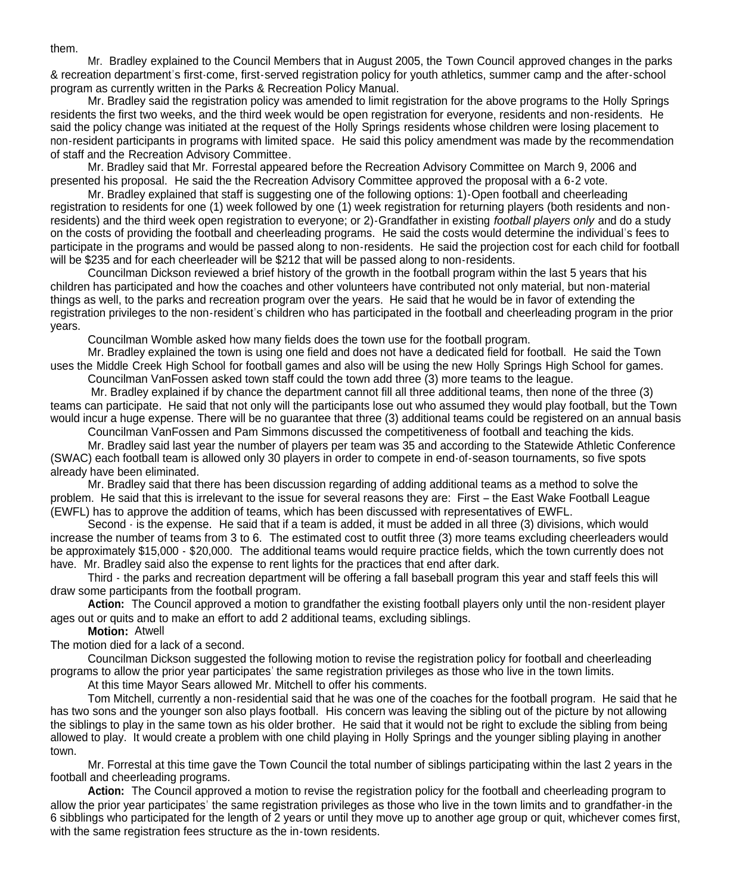them.

Mr. Bradley explained to the Council Members that in August 2005, the Town Council approved changes in the parks & recreation department's first-come, first-served registration policy for youth athletics, summer camp and the after-school program as currently written in the Parks & Recreation Policy Manual.

Mr. Bradley said the registration policy was amended to limit registration for the above programs to the Holly Springs residents the first two weeks, and the third week would be open registration for everyone, residents and non-residents. He said the policy change was initiated at the request of the Holly Springs residents whose children were losing placement to non-resident participants in programs with limited space. He said this policy amendment was made by the recommendation of staff and the Recreation Advisory Committee.

Mr. Bradley said that Mr. Forrestal appeared before the Recreation Advisory Committee on March 9, 2006 and presented his proposal. He said the the Recreation Advisory Committee approved the proposal with a 6-2 vote.

Mr. Bradley explained that staff is suggesting one of the following options: 1)-Open football and cheerleading registration to residents for one (1) week followed by one (1) week registration for returning players (both residents and nonresidents) and the third week open registration to everyone; or 2)-Grandfather in existing *football players only* and do a study on the costs of providing the football and cheerleading programs. He said the costs would determine the individual's fees to participate in the programs and would be passed along to non-residents. He said the projection cost for each child for football will be \$235 and for each cheerleader will be \$212 that will be passed along to non-residents.

Councilman Dickson reviewed a brief history of the growth in the football program within the last 5 years that his children has participated and how the coaches and other volunteers have contributed not only material, but non-material things as well, to the parks and recreation program over the years. He said that he would be in favor of extending the registration privileges to the non-resident's children who has participated in the football and cheerleading program in the prior years.

Councilman Womble asked how many fields does the town use for the football program.

Mr. Bradley explained the town is using one field and does not have a dedicated field for football. He said the Town uses the Middle Creek High School for football games and also will be using the new Holly Springs High School for games. Councilman VanFossen asked town staff could the town add three (3) more teams to the league.

Mr. Bradley explained if by chance the department cannot fill all three additional teams, then none of the three (3) teams can participate. He said that not only will the participants lose out who assumed they would play football, but the Town would incur a huge expense. There will be no quarantee that three (3) additional teams could be registered on an annual basis

Councilman VanFossen and Pam Simmons discussed the competitiveness of football and teaching the kids.

Mr. Bradley said last year the number of players per team was 35 and according to the Statewide Athletic Conference (SWAC) each football team is allowed only 30 players in order to compete in end-of-season tournaments, so five spots already have been eliminated.

Mr. Bradley said that there has been discussion regarding of adding additional teams as a method to solve the problem. He said that this is irrelevant to the issue for several reasons they are: First – the East Wake Football League (EWFL) has to approve the addition of teams, which has been discussed with representatives of EWFL.

Second - is the expense. He said that if a team is added, it must be added in all three (3) divisions, which would increase the number of teams from 3 to 6. The estimated cost to outfit three (3) more teams excluding cheerleaders would be approximately \$15,000 - \$20,000. The additional teams would require practice fields, which the town currently does not have. Mr. Bradley said also the expense to rent lights for the practices that end after dark.

Third - the parks and recreation department will be offering a fall baseball program this year and staff feels this will draw some participants from the football program.

**Action:** The Council approved a motion to grandfather the existing football players only until the non-resident player ages out or quits and to make an effort to add 2 additional teams, excluding siblings.

**Motion:** Atwell

The motion died for a lack of a second.

Councilman Dickson suggested the following motion to revise the registration policy for football and cheerleading programs to allow the prior year participates' the same registration privileges as those who live in the town limits.

At this time Mayor Sears allowed Mr. Mitchell to offer his comments.

Tom Mitchell, currently a non-residential said that he was one of the coaches for the football program. He said that he has two sons and the younger son also plays football. His concern was leaving the sibling out of the picture by not allowing the siblings to play in the same town as his older brother. He said that it would not be right to exclude the sibling from being allowed to play. It would create a problem with one child playing in Holly Springs and the younger sibling playing in another town.

Mr. Forrestal at this time gave the Town Council the total number of siblings participating within the last 2 years in the football and cheerleading programs.

**Action:** The Council approved a motion to revise the registration policy for the football and cheerleading program to allow the prior year participates' the same registration privileges as those who live in the town limits and to grandfather-in the 6 sibblings who participated for the length of 2 years or until they move up to another age group or quit, whichever comes first, with the same registration fees structure as the in-town residents.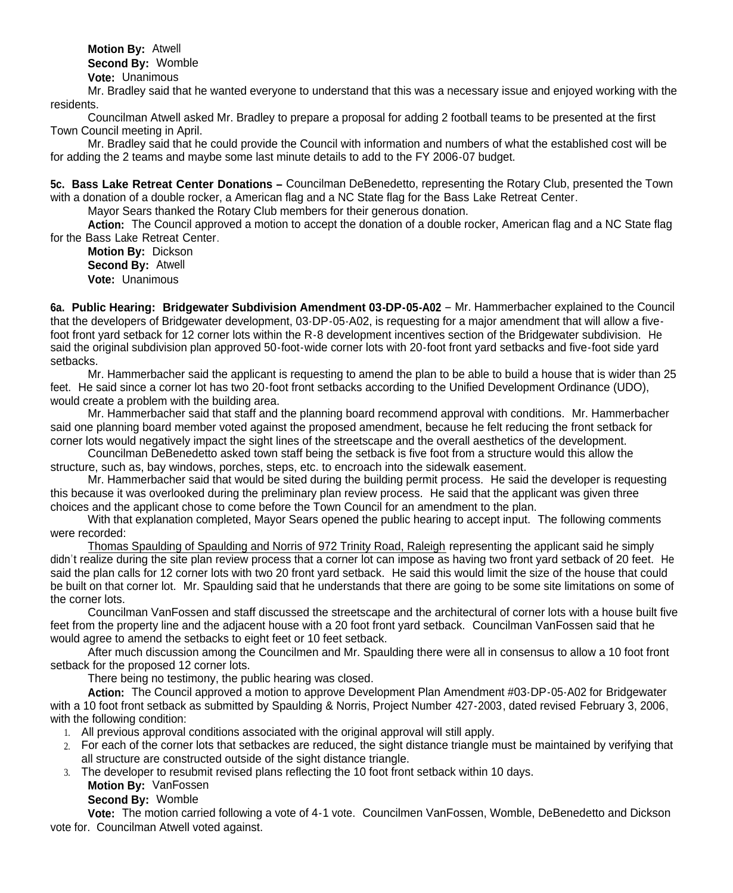with the same registration fees structure as the in-town residents. The in-town residents. In the in-town residents. **Motion By:** Atwell **Second By:** Womble **Vote:** Unanimous

Mr. Bradley said that he wanted everyone to understand that this was a necessary issue and enjoyed working with the residents.

Councilman Atwell asked Mr. Bradley to prepare a proposal for adding 2 football teams to be presented at the first Town Council meeting in April.

Mr. Bradley said that he could provide the Council with information and numbers of what the established cost will be for adding the 2 teams and maybe some last minute details to add to the FY 2006-07 budget.

**5c. Bass Lake Retreat Center Donations –** Councilman DeBenedetto, representing the Rotary Club, presented the Town with a donation of a double rocker, a American flag and a NC State flag for the Bass Lake Retreat Center.

Mayor Sears thanked the Rotary Club members for their generous donation.

**Action:** The Council approved a motion to accept the donation of a double rocker, American flag and a NC State flag for the Bass Lake Retreat Center.

**Motion By:** Dickson **Second By:** Atwell **Vote:** Unanimous

**6a. Public Hearing: Bridgewater Subdivision Amendment 03-DP-05-A02** – Mr. Hammerbacher explained to the Council that the developers of Bridgewater development, 03-DP-05-A02, is requesting for a major amendment that will allow a fivefoot front yard setback for 12 corner lots within the R-8 development incentives section of the Bridgewater subdivision. He said the original subdivision plan approved 50-foot-wide corner lots with 20-foot front yard setbacks and five-foot side yard setbacks.

Mr. Hammerbacher said the applicant is requesting to amend the plan to be able to build a house that is wider than 25 feet. He said since a corner lot has two 20-foot front setbacks according to the Unified Development Ordinance (UDO), would create a problem with the building area.

Mr. Hammerbacher said that staff and the planning board recommend approval with conditions. Mr. Hammerbacher said one planning board member voted against the proposed amendment, because he felt reducing the front setback for corner lots would negatively impact the sight lines of the streetscape and the overall aesthetics of the development.

Councilman DeBenedetto asked town staff being the setback is five foot from a structure would this allow the structure, such as, bay windows, porches, steps, etc. to encroach into the sidewalk easement.

Mr. Hammerbacher said that would be sited during the building permit process. He said the developer is requesting this because it was overlooked during the preliminary plan review process. He said that the applicant was given three choices and the applicant chose to come before the Town Council for an amendment to the plan.

With that explanation completed, Mayor Sears opened the public hearing to accept input. The following comments were recorded:

Thomas Spaulding of Spaulding and Norris of 972 Trinity Road, Raleigh representing the applicant said he simply didn't realize during the site plan review process that a corner lot can impose as having two front yard setback of 20 feet. He said the plan calls for 12 corner lots with two 20 front yard setback. He said this would limit the size of the house that could be built on that corner lot. Mr. Spaulding said that he understands that there are going to be some site limitations on some of the corner lots.

Councilman VanFossen and staff discussed the streetscape and the architectural of corner lots with a house built five feet from the property line and the adjacent house with a 20 foot front yard setback. Councilman VanFossen said that he would agree to amend the setbacks to eight feet or 10 feet setback.

After much discussion among the Councilmen and Mr. Spaulding there were all in consensus to allow a 10 foot front setback for the proposed 12 corner lots.

There being no testimony, the public hearing was closed.

**Action:** The Council approved a motion to approve Development Plan Amendment #03-DP-05-A02 for Bridgewater with a 10 foot front setback as submitted by Spaulding & Norris, Project Number 427-2003, dated revised February 3, 2006, with the following condition:

- 1. All previous approval conditions associated with the original approval will still apply.
- 2. For each of the corner lots that setbackes are reduced, the sight distance triangle must be maintained by verifying that all structure are constructed outside of the sight distance triangle.
- 3. The developer to resubmit revised plans reflecting the 10 foot front setback within 10 days.

**Motion By:** VanFossen

**Second By:** Womble

**Vote:** The motion carried following a vote of 4-1 vote. Councilmen VanFossen, Womble, DeBenedetto and Dickson vote for. Councilman Atwell voted against.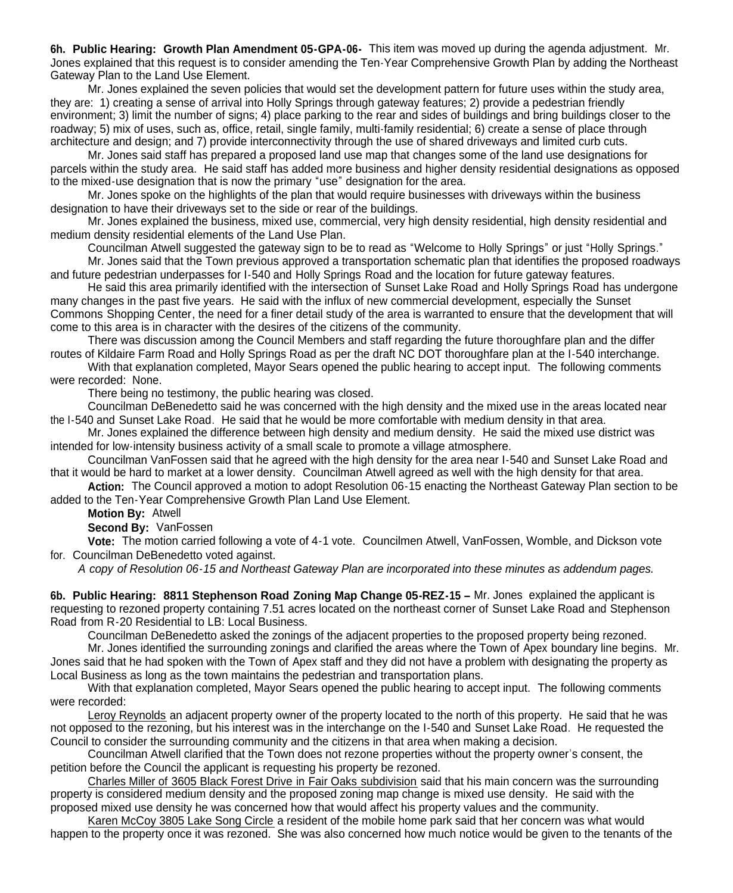**6h. Public Hearing: Growth Plan Amendment 05-GPA-06-** This item was moved up during the agenda adjustment. Mr. Jones explained that this request is to consider amending the Ten-Year Comprehensive Growth Plan by adding the Northeast Gateway Plan to the Land Use Element.

Mr. Jones explained the seven policies that would set the development pattern for future uses within the study area, they are: 1) creating a sense of arrival into Holly Springs through gateway features; 2) provide a pedestrian friendly environment; 3) limit the number of signs; 4) place parking to the rear and sides of buildings and bring buildings closer to the roadway; 5) mix of uses, such as, office, retail, single family, multi-family residential; 6) create a sense of place through architecture and design; and 7) provide interconnectivity through the use of shared driveways and limited curb cuts.

Mr. Jones said staff has prepared a proposed land use map that changes some of the land use designations for parcels within the study area. He said staff has added more business and higher density residential designations as opposed to the mixed-use designation that is now the primary "use" designation for the area.

Mr. Jones spoke on the highlights of the plan that would require businesses with driveways within the business designation to have their driveways set to the side or rear of the buildings.

Mr. Jones explained the business, mixed use, commercial, very high density residential, high density residential and medium density residential elements of the Land Use Plan.

Councilman Atwell suggested the gateway sign to be to read as "Welcome to Holly Springs" or just "Holly Springs." Mr. Jones said that the Town previous approved a transportation schematic plan that identifies the proposed roadways

and future pedestrian underpasses for I-540 and Holly Springs Road and the location for future gateway features.

He said this area primarily identified with the intersection of Sunset Lake Road and Holly Springs Road has undergone many changes in the past five years. He said with the influx of new commercial development, especially the Sunset Commons Shopping Center, the need for a finer detail study of the area is warranted to ensure that the development that will come to this area is in character with the desires of the citizens of the community.

There was discussion among the Council Members and staff regarding the future thoroughfare plan and the differ routes of Kildaire Farm Road and Holly Springs Road as per the draft NC DOT thoroughfare plan at the I-540 interchange.

With that explanation completed, Mayor Sears opened the public hearing to accept input. The following comments were recorded: None.

There being no testimony, the public hearing was closed.

Councilman DeBenedetto said he was concerned with the high density and the mixed use in the areas located near the I-540 and Sunset Lake Road. He said that he would be more comfortable with medium density in that area.

Mr. Jones explained the difference between high density and medium density. He said the mixed use district was intended for low-intensity business activity of a small scale to promote a village atmosphere.

Councilman VanFossen said that he agreed with the high density for the area near I-540 and Sunset Lake Road and that it would be hard to market at a lower density. Councilman Atwell agreed as well with the high density for that area.

**Action:** The Council approved a motion to adopt Resolution 06-15 enacting the Northeast Gateway Plan section to be added to the Ten-Year Comprehensive Growth Plan Land Use Element.

**Motion By:** Atwell

**Second By:** VanFossen

**Vote:** The motion carried following a vote of 4-1 vote. Councilmen Atwell, VanFossen, Womble, and Dickson vote for. Councilman DeBenedetto voted against.

*A copy of Resolution 06-15 and Northeast Gateway Plan are incorporated into these minutes as addendum pages.*

**6b. Public Hearing: 8811 Stephenson Road Zoning Map Change 05-REZ-15 –** Mr. Jones explained the applicant is requesting to rezoned property containing 7.51 acres located on the northeast corner of Sunset Lake Road and Stephenson Road from R-20 Residential to LB: Local Business.

Councilman DeBenedetto asked the zonings of the adjacent properties to the proposed property being rezoned.

Mr. Jones identified the surrounding zonings and clarified the areas where the Town of Apex boundary line begins. Mr. Jones said that he had spoken with the Town of Apex staff and they did not have a problem with designating the property as Local Business as long as the town maintains the pedestrian and transportation plans.

With that explanation completed, Mayor Sears opened the public hearing to accept input. The following comments were recorded:

Leroy Reynolds an adjacent property owner of the property located to the north of this property. He said that he was not opposed to the rezoning, but his interest was in the interchange on the I-540 and Sunset Lake Road. He requested the Council to consider the surrounding community and the citizens in that area when making a decision.

Councilman Atwell clarified that the Town does not rezone properties without the property owner's consent, the petition before the Council the applicant is requesting his property be rezoned.

Charles Miller of 3605 Black Forest Drive in Fair Oaks subdivision said that his main concern was the surrounding property is considered medium density and the proposed zoning map change is mixed use density. He said with the proposed mixed use density he was concerned how that would affect his property values and the community.

Karen McCoy 3805 Lake Song Circle a resident of the mobile home park said that her concern was what would happen to the property once it was rezoned. She was also concerned how much notice would be given to the tenants of the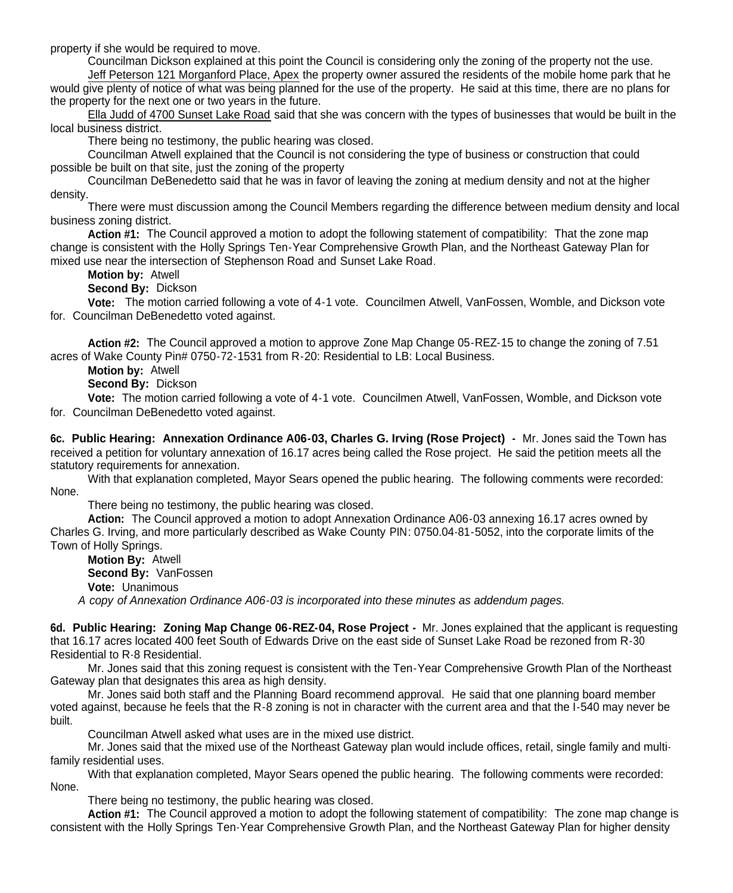property if she would be required to move.

Councilman Dickson explained at this point the Council is considering only the zoning of the property not the use.

Jeff Peterson 121 Morganford Place, Apex the property owner assured the residents of the mobile home park that he would give plenty of notice of what was being planned for the use of the property. He said at this time, there are no plans for the property for the next one or two years in the future.

Ella Judd of 4700 Sunset Lake Road said that she was concern with the types of businesses that would be built in the local business district.

There being no testimony, the public hearing was closed.

Councilman Atwell explained that the Council is not considering the type of business or construction that could possible be built on that site, just the zoning of the property

Councilman DeBenedetto said that he was in favor of leaving the zoning at medium density and not at the higher density.

There were must discussion among the Council Members regarding the difference between medium density and local business zoning district.

**Action #1:** The Council approved a motion to adopt the following statement of compatibility: That the zone map change is consistent with the Holly Springs Ten-Year Comprehensive Growth Plan, and the Northeast Gateway Plan for mixed use near the intersection of Stephenson Road and Sunset Lake Road.

**Motion by:** Atwell

Second By: Dickson

**Vote:** The motion carried following a vote of 4-1 vote. Councilmen Atwell, VanFossen, Womble, and Dickson vote for. Councilman DeBenedetto voted against.

**Action #2:** The Council approved a motion to approve Zone Map Change 05-REZ-15 to change the zoning of 7.51 acres of Wake County Pin# 0750-72-1531 from R-20: Residential to LB: Local Business.

**Motion by:** Atwell

**Second By:** Dickson

**Vote:** The motion carried following a vote of 4-1 vote. Councilmen Atwell, VanFossen, Womble, and Dickson vote for. Councilman DeBenedetto voted against.

**6c. Public Hearing: Annexation Ordinance A06-03, Charles G. Irving (Rose Project) -** Mr. Jones said the Town has received a petition for voluntary annexation of 16.17 acres being called the Rose project. He said the petition meets all the statutory requirements for annexation.

With that explanation completed, Mayor Sears opened the public hearing. The following comments were recorded: None.

There being no testimony, the public hearing was closed.

**Action:** The Council approved a motion to adopt Annexation Ordinance A06-03 annexing 16.17 acres owned by Charles G. Irving, and more particularly described as Wake County PIN: 0750.04-81-5052, into the corporate limits of the Town of Holly Springs.

**Motion By:** Atwell **Second By:** VanFossen **Vote:** Unanimous *A copy of Annexation Ordinance A06-03 is incorporated into these minutes as addendum pages.*

**6d. Public Hearing: Zoning Map Change 06-REZ-04, Rose Project -** Mr. Jones explained that the applicant is requesting that 16.17 acres located 400 feet South of Edwards Drive on the east side of Sunset Lake Road be rezoned from R-30 Residential to R-8 Residential.

Mr. Jones said that this zoning request is consistent with the Ten-Year Comprehensive Growth Plan of the Northeast Gateway plan that designates this area as high density.

Mr. Jones said both staff and the Planning Board recommend approval. He said that one planning board member voted against, because he feels that the R-8 zoning is not in character with the current area and that the I-540 may never be built.

Councilman Atwell asked what uses are in the mixed use district.

Mr. Jones said that the mixed use of the Northeast Gateway plan would include offices, retail, single family and multifamily residential uses.

With that explanation completed, Mayor Sears opened the public hearing. The following comments were recorded: None.

There being no testimony, the public hearing was closed.

**Action #1:** The Council approved a motion to adopt the following statement of compatibility: The zone map change is consistent with the Holly Springs Ten-Year Comprehensive Growth Plan, and the Northeast Gateway Plan for higher density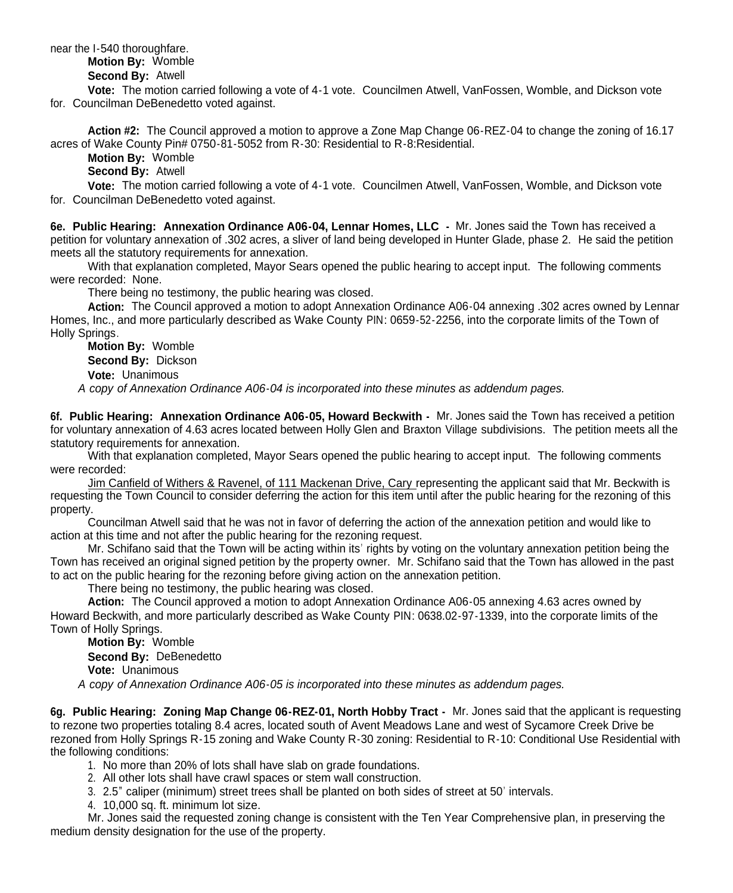near the I-540 thoroughfare.

## **Motion By:** Womble

**Second By:** Atwell

**Vote:** The motion carried following a vote of 4-1 vote. Councilmen Atwell, VanFossen, Womble, and Dickson vote for. Councilman DeBenedetto voted against.

**Action #2:** The Council approved a motion to approve a Zone Map Change 06-REZ-04 to change the zoning of 16.17 acres of Wake County Pin# 0750-81-5052 from R-30: Residential to R-8:Residential.

**Motion By:** Womble

**Second By:** Atwell

**Vote:** The motion carried following a vote of 4-1 vote. Councilmen Atwell, VanFossen, Womble, and Dickson vote for. Councilman DeBenedetto voted against.

**6e. Public Hearing: Annexation Ordinance A06-04, Lennar Homes, LLC -** Mr. Jones said the Town has received a petition for voluntary annexation of .302 acres, a sliver of land being developed in Hunter Glade, phase 2. He said the petition meets all the statutory requirements for annexation.

With that explanation completed, Mayor Sears opened the public hearing to accept input. The following comments were recorded: None.

There being no testimony, the public hearing was closed.

**Action:** The Council approved a motion to adopt Annexation Ordinance A06-04 annexing .302 acres owned by Lennar Homes, Inc., and more particularly described as Wake County PIN: 0659-52-2256, into the corporate limits of the Town of Holly Springs.

**Motion By:** Womble **Second By:** Dickson

**Vote:** Unanimous

*A copy of Annexation Ordinance A06-04 is incorporated into these minutes as addendum pages.*

**6f. Public Hearing: Annexation Ordinance A06-05, Howard Beckwith -** Mr. Jones said the Town has received a petition for voluntary annexation of 4.63 acres located between Holly Glen and Braxton Village subdivisions. The petition meets all the statutory requirements for annexation.

With that explanation completed, Mayor Sears opened the public hearing to accept input. The following comments were recorded:

Jim Canfield of Withers & Ravenel, of 111 Mackenan Drive, Cary representing the applicant said that Mr. Beckwith is requesting the Town Council to consider deferring the action for this item until after the public hearing for the rezoning of this property.

Councilman Atwell said that he was not in favor of deferring the action of the annexation petition and would like to action at this time and not after the public hearing for the rezoning request.

Mr. Schifano said that the Town will be acting within its' rights by voting on the voluntary annexation petition being the Town has received an original signed petition by the property owner. Mr. Schifano said that the Town has allowed in the past to act on the public hearing for the rezoning before giving action on the annexation petition.

There being no testimony, the public hearing was closed.

**Action:** The Council approved a motion to adopt Annexation Ordinance A06-05 annexing 4.63 acres owned by Howard Beckwith, and more particularly described as Wake County PIN: 0638.02-97-1339, into the corporate limits of the Town of Holly Springs.

**Motion By:** Womble **Second By:** DeBenedetto **Vote:** Unanimous

*A copy of Annexation Ordinance A06-05 is incorporated into these minutes as addendum pages.*

**6g. Public Hearing: Zoning Map Change 06-REZ-01, North Hobby Tract -** Mr. Jones said that the applicant is requesting to rezone two properties totaling 8.4 acres, located south of Avent Meadows Lane and west of Sycamore Creek Drive be rezoned from Holly Springs R-15 zoning and Wake County R-30 zoning: Residential to R-10: Conditional Use Residential with the following conditions:

- 1. No more than 20% of lots shall have slab on grade foundations.
- 2. All other lots shall have crawl spaces or stem wall construction.
- 3. 2.5" caliper (minimum) street trees shall be planted on both sides of street at 50' intervals.
- 4. 10,000 sq. ft. minimum lot size.

Mr. Jones said the requested zoning change is consistent with the Ten Year Comprehensive plan, in preserving the medium density designation for the use of the property.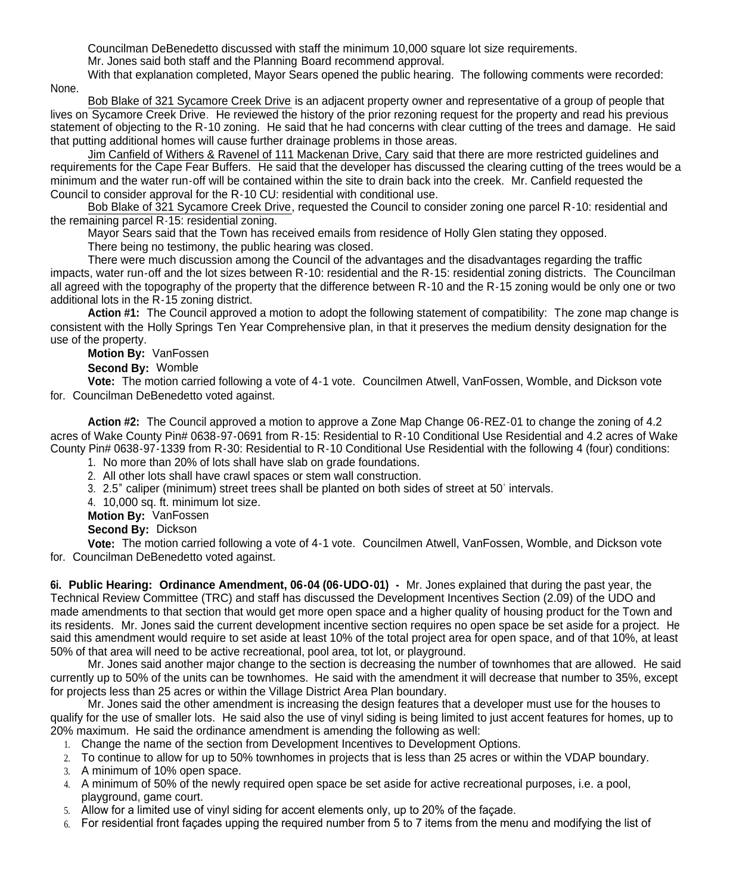Councilman DeBenedetto discussed with staff the minimum 10,000 square lot size requirements.

Mr. Jones said both staff and the Planning Board recommend approval.

With that explanation completed, Mayor Sears opened the public hearing. The following comments were recorded: None.

Bob Blake of 321 Sycamore Creek Drive is an adjacent property owner and representative of a group of people that lives on Sycamore Creek Drive. He reviewed the history of the prior rezoning request for the property and read his previous statement of objecting to the R-10 zoning. He said that he had concerns with clear cutting of the trees and damage. He said that putting additional homes will cause further drainage problems in those areas.

Jim Canfield of Withers & Ravenel of 111 Mackenan Drive, Cary said that there are more restricted guidelines and requirements for the Cape Fear Buffers. He said that the developer has discussed the clearing cutting of the trees would be a minimum and the water run-off will be contained within the site to drain back into the creek. Mr. Canfield requested the Council to consider approval for the R-10 CU: residential with conditional use.

Bob Blake of 321 Sycamore Creek Drive, requested the Council to consider zoning one parcel R-10: residential and the remaining parcel R-15: residential zoning.

Mayor Sears said that the Town has received emails from residence of Holly Glen stating they opposed.

There being no testimony, the public hearing was closed.

There were much discussion among the Council of the advantages and the disadvantages regarding the traffic impacts, water run-off and the lot sizes between R-10: residential and the R-15: residential zoning districts. The Councilman all agreed with the topography of the property that the difference between R-10 and the R-15 zoning would be only one or two additional lots in the R-15 zoning district.

**Action #1:** The Council approved a motion to adopt the following statement of compatibility: The zone map change is consistent with the Holly Springs Ten Year Comprehensive plan, in that it preserves the medium density designation for the use of the property.

**Motion By:** VanFossen

**Second By:** Womble

**Vote:** The motion carried following a vote of 4-1 vote. Councilmen Atwell, VanFossen, Womble, and Dickson vote for. Councilman DeBenedetto voted against.

**Action #2:** The Council approved a motion to approve a Zone Map Change 06-REZ-01 to change the zoning of 4.2 acres of Wake County Pin# 0638-97-0691 from R-15: Residential to R-10 Conditional Use Residential and 4.2 acres of Wake County Pin# 0638-97-1339 from R-30: Residential to R-10 Conditional Use Residential with the following 4 (four) conditions:

1. No more than 20% of lots shall have slab on grade foundations.

2. All other lots shall have crawl spaces or stem wall construction.

3. 2.5" caliper (minimum) street trees shall be planted on both sides of street at 50' intervals.

4. 10,000 sq. ft. minimum lot size.

**Motion By:** VanFossen

**Second By:** Dickson

**Vote:** The motion carried following a vote of 4-1 vote. Councilmen Atwell, VanFossen, Womble, and Dickson vote for. Councilman DeBenedetto voted against.

**6i. Public Hearing: Ordinance Amendment, 06-04 (06-UDO-01) -** Mr. Jones explained that during the past year, the Technical Review Committee (TRC) and staff has discussed the Development Incentives Section (2.09) of the UDO and made amendments to that section that would get more open space and a higher quality of housing product for the Town and its residents. Mr. Jones said the current development incentive section requires no open space be set aside for a project. He said this amendment would require to set aside at least 10% of the total project area for open space, and of that 10%, at least 50% of that area will need to be active recreational, pool area, tot lot, or playground.

Mr. Jones said another major change to the section is decreasing the number of townhomes that are allowed. He said currently up to 50% of the units can be townhomes. He said with the amendment it will decrease that number to 35%, except for projects less than 25 acres or within the Village District Area Plan boundary.

Mr. Jones said the other amendment is increasing the design features that a developer must use for the houses to qualify for the use of smaller lots. He said also the use of vinyl siding is being limited to just accent features for homes, up to 20% maximum. He said the ordinance amendment is amending the following as well:

- 1. Change the name of the section from Development Incentives to Development Options.
- 2. To continue to allow for up to 50% townhomes in projects that is less than 25 acres or within the VDAP boundary.
- 3. A minimum of 10% open space.
- 4. A minimum of 50% of the newly required open space be set aside for active recreational purposes, i.e. a pool, playground, game court.
- 5. Allow for a limited use of vinyl siding for accent elements only, up to 20% of the façade.
- 6. For residential front façades upping the required number from 5 to 7 items from the menu and modifying the list of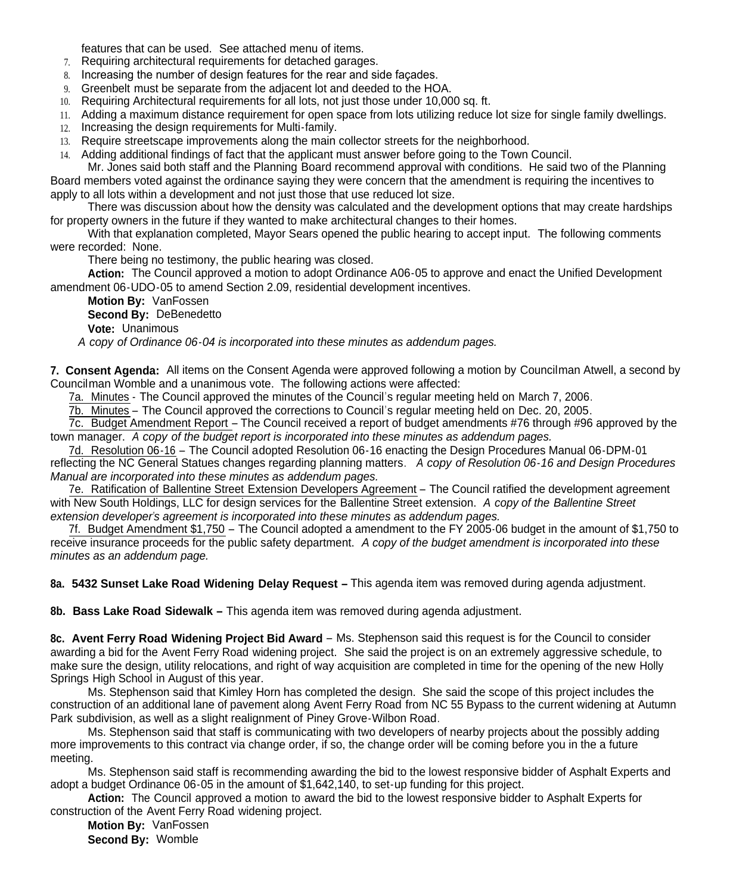features that can be used. See attached menu of items.

- 7. Requiring architectural requirements for detached garages.
- 8. Increasing the number of design features for the rear and side façades.
- 9. Greenbelt must be separate from the adjacent lot and deeded to the HOA.
- 10. Requiring Architectural requirements for all lots, not just those under 10,000 sq. ft.
- 11. Adding a maximum distance requirement for open space from lots utilizing reduce lot size for single family dwellings.
- 12. Increasing the design requirements for Multi-family.
- 13. Require streetscape improvements along the main collector streets for the neighborhood.
- 14. Adding additional findings of fact that the applicant must answer before going to the Town Council.

Mr. Jones said both staff and the Planning Board recommend approval with conditions. He said two of the Planning Board members voted against the ordinance saying they were concern that the amendment is requiring the incentives to apply to all lots within a development and not just those that use reduced lot size.

There was discussion about how the density was calculated and the development options that may create hardships for property owners in the future if they wanted to make architectural changes to their homes.

With that explanation completed, Mayor Sears opened the public hearing to accept input. The following comments were recorded: None.

There being no testimony, the public hearing was closed.

**Action:** The Council approved a motion to adopt Ordinance A06-05 to approve and enact the Unified Development amendment 06-UDO-05 to amend Section 2.09, residential development incentives.

**Motion By:** VanFossen **Second By:** DeBenedetto

**Vote:** Unanimous

*A copy of Ordinance 06-04 is incorporated into these minutes as addendum pages.*

**7. Consent Agenda:** All items on the Consent Agenda were approved following a motion by Councilman Atwell, a second by Councilman Womble and a unanimous vote. The following actions were affected:

7a. Minutes - The Council approved the minutes of the Council's regular meeting held on March 7, 2006.

7b. Minutes – The Council approved the corrections to Council's regular meeting held on Dec. 20, 2005.

7c. Budget Amendment Report – The Council received a report of budget amendments #76 through #96 approved by the town manager. *A copy of the budget report is incorporated into these minutes as addendum pages.*

7d. Resolution 06-16 – The Council adopted Resolution 06-16 enacting the Design Procedures Manual 06-DPM-01 reflecting the NC General Statues changes regarding planning matters. *A copy of Resolution 06-16 and Design Procedures Manual are incorporated into these minutes as addendum pages.*

7e. Ratification of Ballentine Street Extension Developers Agreement – The Council ratified the development agreement with New South Holdings, LLC for design services for the Ballentine Street extension. *A copy of the Ballentine Street extension developer's agreement is incorporated into these minutes as addendum pages.*

7f. Budget Amendment \$1,750 – The Council adopted a amendment to the FY 2005-06 budget in the amount of \$1,750 to receive insurance proceeds for the public safety department. *A copy of the budget amendment is incorporated into these minutes as an addendum page.*

**8a. 5432 Sunset Lake Road Widening Delay Request –** This agenda item was removed during agenda adjustment.

**8b. Bass Lake Road Sidewalk –** This agenda item was removed during agenda adjustment.

**8c. Avent Ferry Road Widening Project Bid Award** – Ms. Stephenson said this request is for the Council to consider awarding a bid for the Avent Ferry Road widening project. She said the project is on an extremely aggressive schedule, to make sure the design, utility relocations, and right of way acquisition are completed in time for the opening of the new Holly Springs High School in August of this year.

Ms. Stephenson said that Kimley Horn has completed the design. She said the scope of this project includes the construction of an additional lane of pavement along Avent Ferry Road from NC 55 Bypass to the current widening at Autumn Park subdivision, as well as a slight realignment of Piney Grove-Wilbon Road.

Ms. Stephenson said that staff is communicating with two developers of nearby projects about the possibly adding more improvements to this contract via change order, if so, the change order will be coming before you in the a future meeting.

Ms. Stephenson said staff is recommending awarding the bid to the lowest responsive bidder of Asphalt Experts and adopt a budget Ordinance 06-05 in the amount of \$1,642,140, to set-up funding for this project.

**Action:** The Council approved a motion to award the bid to the lowest responsive bidder to Asphalt Experts for construction of the Avent Ferry Road widening project.

**Motion By:** VanFossen **Second By:** Womble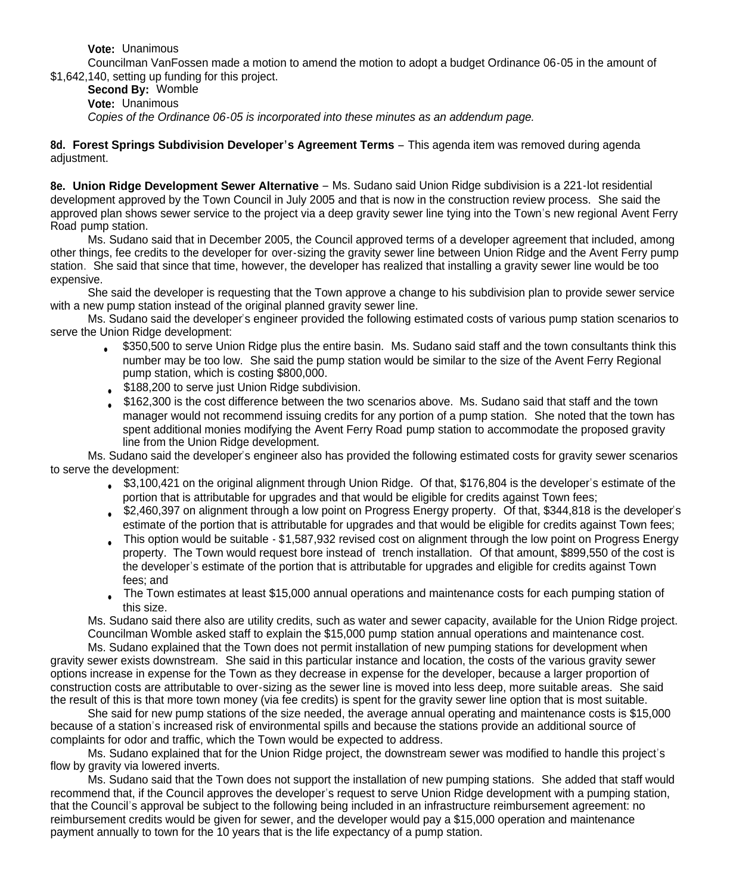**Vote:** Unanimous

Councilman VanFossen made a motion to amend the motion to adopt a budget Ordinance 06-05 in the amount of \$1,642,140, setting up funding for this project.

**Second By:** Womble **Vote:** Unanimous *Copies of the Ordinance 06-05 is incorporated into these minutes as an addendum page.*

**8d. Forest Springs Subdivision Developer's Agreement Terms** – This agenda item was removed during agenda adjustment.

**8e. Union Ridge Development Sewer Alternative** – Ms. Sudano said Union Ridge subdivision is a 221-lot residential development approved by the Town Council in July 2005 and that is now in the construction review process. She said the approved plan shows sewer service to the project via a deep gravity sewer line tying into the Town's new regional Avent Ferry Road pump station.

Ms. Sudano said that in December 2005, the Council approved terms of a developer agreement that included, among other things, fee credits to the developer for over-sizing the gravity sewer line between Union Ridge and the Avent Ferry pump station. She said that since that time, however, the developer has realized that installing a gravity sewer line would be too expensive.

She said the developer is requesting that the Town approve a change to his subdivision plan to provide sewer service with a new pump station instead of the original planned gravity sewer line.

Ms. Sudano said the developer's engineer provided the following estimated costs of various pump station scenarios to serve the Union Ridge development:

- \$350,500 to serve Union Ridge plus the entire basin. Ms. Sudano said staff and the town consultants think this number may be too low. She said the pump station would be similar to the size of the Avent Ferry Regional pump station, which is costing \$800,000.
- \$188,200 to serve just Union Ridge subdivision.
- \$162,300 is the cost difference between the two scenarios above. Ms. Sudano said that staff and the town manager would not recommend issuing credits for any portion of a pump station. She noted that the town has spent additional monies modifying the Avent Ferry Road pump station to accommodate the proposed gravity line from the Union Ridge development.

Ms. Sudano said the developer's engineer also has provided the following estimated costs for gravity sewer scenarios to serve the development:

- \$3,100,421 on the original alignment through Union Ridge. Of that, \$176,804 is the developer's estimate of the portion that is attributable for upgrades and that would be eligible for credits against Town fees;
- \$2,460,397 on alignment through a low point on Progress Energy property. Of that, \$344,818 is the developer's estimate of the portion that is attributable for upgrades and that would be eligible for credits against Town fees;
- This option would be suitable \$1,587,932 revised cost on alignment through the low point on Progress Energy property. The Town would request bore instead of trench installation. Of that amount, \$899,550 of the cost is the developer's estimate of the portion that is attributable for upgrades and eligible for credits against Town fees; and
- The Town estimates at least \$15,000 annual operations and maintenance costs for each pumping station of this size.

Ms. Sudano said there also are utility credits, such as water and sewer capacity, available for the Union Ridge project. Councilman Womble asked staff to explain the \$15,000 pump station annual operations and maintenance cost.

Ms. Sudano explained that the Town does not permit installation of new pumping stations for development when gravity sewer exists downstream. She said in this particular instance and location, the costs of the various gravity sewer options increase in expense for the Town as they decrease in expense for the developer, because a larger proportion of construction costs are attributable to over-sizing as the sewer line is moved into less deep, more suitable areas. She said the result of this is that more town money (via fee credits) is spent for the gravity sewer line option that is most suitable.

She said for new pump stations of the size needed, the average annual operating and maintenance costs is \$15,000 because of a station's increased risk of environmental spills and because the stations provide an additional source of complaints for odor and traffic, which the Town would be expected to address.

Ms. Sudano explained that for the Union Ridge project, the downstream sewer was modified to handle this project's flow by gravity via lowered inverts.

Ms. Sudano said that the Town does not support the installation of new pumping stations. She added that staff would recommend that, if the Council approves the developer's request to serve Union Ridge development with a pumping station, that the Council's approval be subject to the following being included in an infrastructure reimbursement agreement: no reimbursement credits would be given for sewer, and the developer would pay a \$15,000 operation and maintenance payment annually to town for the 10 years that is the life expectancy of a pump station.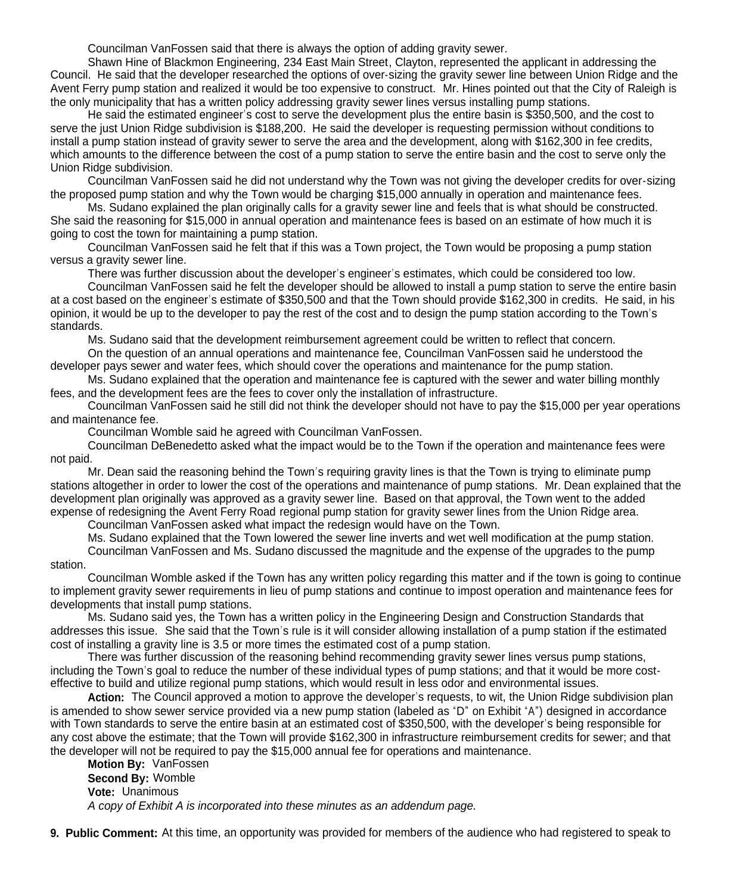Councilman VanFossen said that there is always the option of adding gravity sewer.

Shawn Hine of Blackmon Engineering, 234 East Main Street, Clayton, represented the applicant in addressing the Council. He said that the developer researched the options of over-sizing the gravity sewer line between Union Ridge and the Avent Ferry pump station and realized it would be too expensive to construct. Mr. Hines pointed out that the City of Raleigh is the only municipality that has a written policy addressing gravity sewer lines versus installing pump stations.

He said the estimated engineer's cost to serve the development plus the entire basin is \$350,500, and the cost to serve the just Union Ridge subdivision is \$188,200. He said the developer is requesting permission without conditions to install a pump station instead of gravity sewer to serve the area and the development, along with \$162,300 in fee credits, which amounts to the difference between the cost of a pump station to serve the entire basin and the cost to serve only the Union Ridge subdivision.

Councilman VanFossen said he did not understand why the Town was not giving the developer credits for over-sizing the proposed pump station and why the Town would be charging \$15,000 annually in operation and maintenance fees.

Ms. Sudano explained the plan originally calls for a gravity sewer line and feels that is what should be constructed. She said the reasoning for \$15,000 in annual operation and maintenance fees is based on an estimate of how much it is going to cost the town for maintaining a pump station.

Councilman VanFossen said he felt that if this was a Town project, the Town would be proposing a pump station versus a gravity sewer line.

There was further discussion about the developer's engineer's estimates, which could be considered too low.

Councilman VanFossen said he felt the developer should be allowed to install a pump station to serve the entire basin at a cost based on the engineer's estimate of \$350,500 and that the Town should provide \$162,300 in credits. He said, in his opinion, it would be up to the developer to pay the rest of the cost and to design the pump station according to the Town's standards.

Ms. Sudano said that the development reimbursement agreement could be written to reflect that concern.

On the question of an annual operations and maintenance fee, Councilman VanFossen said he understood the developer pays sewer and water fees, which should cover the operations and maintenance for the pump station.

Ms. Sudano explained that the operation and maintenance fee is captured with the sewer and water billing monthly fees, and the development fees are the fees to cover only the installation of infrastructure.

Councilman VanFossen said he still did not think the developer should not have to pay the \$15,000 per year operations and maintenance fee.

Councilman Womble said he agreed with Councilman VanFossen.

Councilman DeBenedetto asked what the impact would be to the Town if the operation and maintenance fees were not paid.

Mr. Dean said the reasoning behind the Town's requiring gravity lines is that the Town is trying to eliminate pump stations altogether in order to lower the cost of the operations and maintenance of pump stations. Mr. Dean explained that the development plan originally was approved as a gravity sewer line. Based on that approval, the Town went to the added expense of redesigning the Avent Ferry Road regional pump station for gravity sewer lines from the Union Ridge area.

Councilman VanFossen asked what impact the redesign would have on the Town.

Ms. Sudano explained that the Town lowered the sewer line inverts and wet well modification at the pump station. Councilman VanFossen and Ms. Sudano discussed the magnitude and the expense of the upgrades to the pump

#### station.

Councilman Womble asked if the Town has any written policy regarding this matter and if the town is going to continue to implement gravity sewer requirements in lieu of pump stations and continue to impost operation and maintenance fees for developments that install pump stations.

Ms. Sudano said yes, the Town has a written policy in the Engineering Design and Construction Standards that addresses this issue. She said that the Town's rule is it will consider allowing installation of a pump station if the estimated cost of installing a gravity line is 3.5 or more times the estimated cost of a pump station.

There was further discussion of the reasoning behind recommending gravity sewer lines versus pump stations, including the Town's goal to reduce the number of these individual types of pump stations; and that it would be more costeffective to build and utilize regional pump stations, which would result in less odor and environmental issues.

**Action:** The Council approved a motion to approve the developer's requests, to wit, the Union Ridge subdivision plan is amended to show sewer service provided via a new pump station (labeled as "D" on Exhibit "A") designed in accordance with Town standards to serve the entire basin at an estimated cost of \$350,500, with the developer's being responsible for any cost above the estimate; that the Town will provide \$162,300 in infrastructure reimbursement credits for sewer; and that the developer will not be required to pay the \$15,000 annual fee for operations and maintenance.

**Motion By:** VanFossen **Second By:** Womble **Vote:** Unanimous *A copy of Exhibit A is incorporated into these minutes as an addendum page.*

**9. Public Comment:** At this time, an opportunity was provided for members of the audience who had registered to speak to